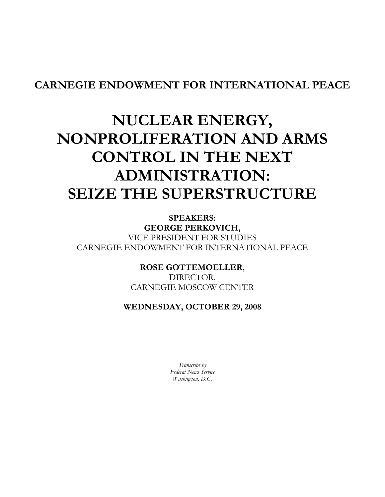## CARNEGIE ENDOWMENT FOR INTERNATIONAL PEACE

## NUCLEAR ENERGY, NONPROLIFERATION AND ARMS CONTROL IN THE NEXT ADMINISTRATION: SEIZE THE SUPERSTRUCTURE

SPEAKERS: GEORGE PERKOVICH, VICE PRESIDENT FOR STUDIES CARNEGIE ENDOWMENT FOR INTERNATIONAL PEACE

> ROSE GOTTEMOELLER, DIRECTOR, CARNEGIE MOSCOW CENTER

## WEDNESDAY, OCTOBER 29, 2008

Transcript by Federal News Service Washington, D.C.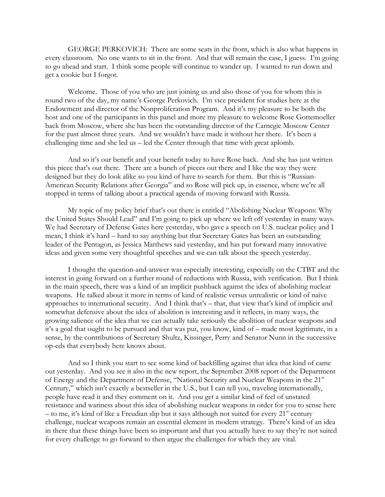GEORGE PERKOVICH: There are some seats in the front, which is also what happens in every classroom. No one wants to sit in the front. And that will remain the case, I guess. I'm going to go ahead and start. I think some people will continue to wander up. I wanted to run down and get a cookie but I forgot.

Welcome. Those of you who are just joining us and also those of you for whom this is round two of the day, my name's George Perkovich. I'm vice president for studies here at the Endowment and director of the Nonproliferation Program. And it's my pleasure to be both the host and one of the participants in this panel and more my pleasure to welcome Rose Gottemoeller back from Moscow, where she has been the outstanding director of the Carnegie Moscow Center for the past almost three years. And we wouldn't have made it without her there. It's been a challenging time and she led us – led the Center through that time with great aplomb.

And so it's our benefit and your benefit today to have Rose back. And she has just written this piece that's out there. There are a bunch of pieces out there and I like the way they were designed but they do look alike so you kind of have to search for them. But this is "Russian-American Security Relations after Georgia" and so Rose will pick up, in essence, where we're all stopped in terms of talking about a practical agenda of moving forward with Russia.

My topic of my policy brief that's out there is entitled "Abolishing Nuclear Weapons: Why the United States Should Lead" and I'm going to pick up where we left off yesterday in many ways. We had Secretary of Defense Gates here yesterday, who gave a speech on U.S. nuclear policy and I mean, I think it's hard – hard to say anything but that Secretary Gates has been an outstanding leader of the Pentagon, as Jessica Matthews said yesterday, and has put forward many innovative ideas and given some very thoughtful speeches and we can talk about the speech yesterday.

I thought the question-and-answer was especially interesting, especially on the CTBT and the interest in going forward on a further round of reductions with Russia, with verification. But I think in the main speech, there was a kind of an implicit pushback against the idea of abolishing nuclear weapons. He talked about it more in terms of kind of realistic versus unrealistic or kind of naïve approaches to international security. And I think that's – that, that view that's kind of implicit and somewhat defensive about the idea of abolition is interesting and it reflects, in many ways, the growing salience of the idea that we can actually take seriously the abolition of nuclear weapons and it's a goal that ought to be pursued and that was put, you know, kind of – made most legitimate, in a sense, by the contributions of Secretary Shultz, Kissinger, Perry and Senator Nunn in the successive op-eds that everybody here knows about.

And so I think you start to see some kind of backfilling against that idea that kind of came out yesterday. And you see it also in the new report, the September 2008 report of the Department of Energy and the Department of Defense, "National Security and Nuclear Weapons in the 21<sup>st</sup> Century," which isn't exactly a bestseller in the U.S., but I can tell you, traveling internationally, people have read it and they comment on it. And you get a similar kind of feel of unstated resistance and wariness about this idea of abolishing nuclear weapons in order for you to sense here – to me, it's kind of like a Freudian slip but it says although not suited for every  $21<sup>st</sup>$  century challenge, nuclear weapons remain an essential element in modern strategy. There's kind of an idea in there that these things have been so important and that you actually have to say they're not suited for every challenge to go forward to then argue the challenges for which they are vital.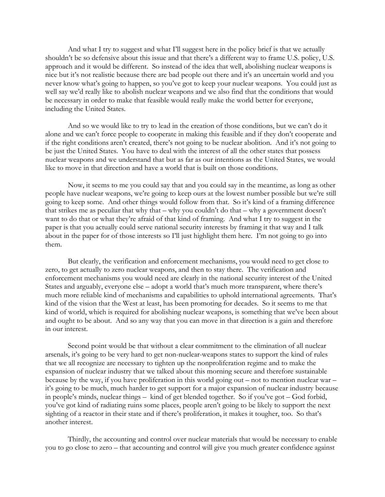And what I try to suggest and what I'll suggest here in the policy brief is that we actually shouldn't be so defensive about this issue and that there's a different way to frame U.S. policy, U.S. approach and it would be different. So instead of the idea that well, abolishing nuclear weapons is nice but it's not realistic because there are bad people out there and it's an uncertain world and you never know what's going to happen, so you've got to keep your nuclear weapons. You could just as well say we'd really like to abolish nuclear weapons and we also find that the conditions that would be necessary in order to make that feasible would really make the world better for everyone, including the United States.

And so we would like to try to lead in the creation of those conditions, but we can't do it alone and we can't force people to cooperate in making this feasible and if they don't cooperate and if the right conditions aren't created, there's not going to be nuclear abolition. And it's not going to be just the United States. You have to deal with the interest of all the other states that possess nuclear weapons and we understand that but as far as our intentions as the United States, we would like to move in that direction and have a world that is built on those conditions.

Now, it seems to me you could say that and you could say in the meantime, as long as other people have nuclear weapons, we're going to keep ours at the lowest number possible but we're still going to keep some. And other things would follow from that. So it's kind of a framing difference that strikes me as peculiar that why that – why you couldn't do that – why a government doesn't want to do that or what they're afraid of that kind of framing. And what I try to suggest in the paper is that you actually could serve national security interests by framing it that way and I talk about in the paper for of those interests so I'll just highlight them here. I'm not going to go into them.

But clearly, the verification and enforcement mechanisms, you would need to get close to zero, to get actually to zero nuclear weapons, and then to stay there. The verification and enforcement mechanisms you would need are clearly in the national security interest of the United States and arguably, everyone else – adopt a world that's much more transparent, where there's much more reliable kind of mechanisms and capabilities to uphold international agreements. That's kind of the vision that the West at least, has been promoting for decades. So it seems to me that kind of world, which is required for abolishing nuclear weapons, is something that we've been about and ought to be about. And so any way that you can move in that direction is a gain and therefore in our interest.

Second point would be that without a clear commitment to the elimination of all nuclear arsenals, it's going to be very hard to get non-nuclear-weapons states to support the kind of rules that we all recognize are necessary to tighten up the nonproliferation regime and to make the expansion of nuclear industry that we talked about this morning secure and therefore sustainable because by the way, if you have proliferation in this world going out – not to mention nuclear war – it's going to be much, much harder to get support for a major expansion of nuclear industry because in people's minds, nuclear things – kind of get blended together. So if you've got – God forbid, you've got kind of radiating ruins some places, people aren't going to be likely to support the next sighting of a reactor in their state and if there's proliferation, it makes it tougher, too. So that's another interest.

Thirdly, the accounting and control over nuclear materials that would be necessary to enable you to go close to zero – that accounting and control will give you much greater confidence against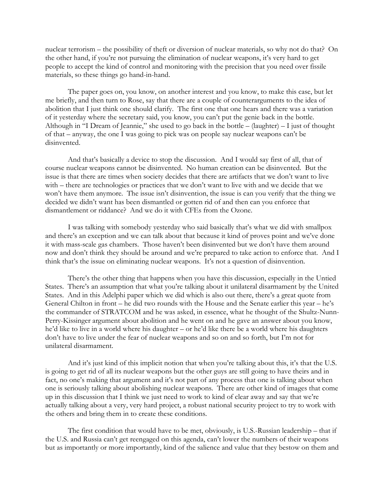nuclear terrorism – the possibility of theft or diversion of nuclear materials, so why not do that? On the other hand, if you're not pursuing the elimination of nuclear weapons, it's very hard to get people to accept the kind of control and monitoring with the precision that you need over fissile materials, so these things go hand-in-hand.

The paper goes on, you know, on another interest and you know, to make this case, but let me briefly, and then turn to Rose, say that there are a couple of counterarguments to the idea of abolition that I just think one should clarify. The first one that one hears and there was a variation of it yesterday where the secretary said, you know, you can't put the genie back in the bottle. Although in "I Dream of Jeannie," she used to go back in the bottle – (laughter) – I just of thought of that – anyway, the one I was going to pick was on people say nuclear weapons can't be disinvented.

And that's basically a device to stop the discussion. And I would say first of all, that of course nuclear weapons cannot be disinvented. No human creation can be disinvented. But the issue is that there are times when society decides that there are artifacts that we don't want to live with – there are technologies or practices that we don't want to live with and we decide that we won't have them anymore. The issue isn't disinvention, the issue is can you verify that the thing we decided we didn't want has been dismantled or gotten rid of and then can you enforce that dismantlement or riddance? And we do it with CFEs from the Ozone.

I was talking with somebody yesterday who said basically that's what we did with smallpox and there's an exception and we can talk about that because it kind of proves point and we've done it with mass-scale gas chambers. Those haven't been disinvented but we don't have them around now and don't think they should be around and we're prepared to take action to enforce that. And I think that's the issue on eliminating nuclear weapons. It's not a question of disinvention.

There's the other thing that happens when you have this discussion, especially in the Untied States. There's an assumption that what you're talking about it unilateral disarmament by the United States. And in this Adelphi paper which we did which is also out there, there's a great quote from General Chilton in front – he did two rounds with the House and the Senate earlier this year – he's the commander of STRATCOM and he was asked, in essence, what he thought of the Shultz-Nunn-Perry-Kissinger argument about abolition and he went on and he gave an answer about you know, he'd like to live in a world where his daughter – or he'd like there be a world where his daughters don't have to live under the fear of nuclear weapons and so on and so forth, but I'm not for unilateral disarmament.

And it's just kind of this implicit notion that when you're talking about this, it's that the U.S. is going to get rid of all its nuclear weapons but the other guys are still going to have theirs and in fact, no one's making that argument and it's not part of any process that one is talking about when one is seriously talking about abolishing nuclear weapons. There are other kind of images that come up in this discussion that I think we just need to work to kind of clear away and say that we're actually talking about a very, very hard project, a robust national security project to try to work with the others and bring them in to create these conditions.

The first condition that would have to be met, obviously, is U.S.-Russian leadership – that if the U.S. and Russia can't get reengaged on this agenda, can't lower the numbers of their weapons but as importantly or more importantly, kind of the salience and value that they bestow on them and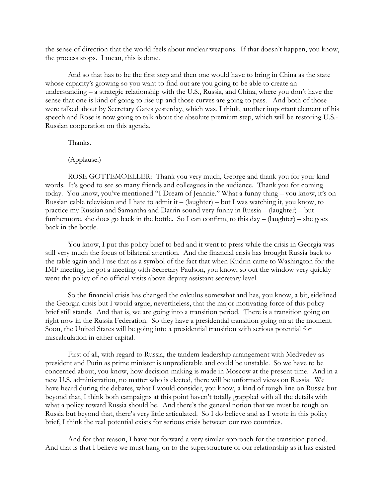the sense of direction that the world feels about nuclear weapons. If that doesn't happen, you know, the process stops. I mean, this is done.

And so that has to be the first step and then one would have to bring in China as the state whose capacity's growing so you want to find out are you going to be able to create an understanding – a strategic relationship with the U.S., Russia, and China, where you don't have the sense that one is kind of going to rise up and those curves are going to pass. And both of those were talked about by Secretary Gates yesterday, which was, I think, another important element of his speech and Rose is now going to talk about the absolute premium step, which will be restoring U.S.- Russian cooperation on this agenda.

Thanks.

(Applause.)

ROSE GOTTEMOELLER: Thank you very much, George and thank you for your kind words. It's good to see so many friends and colleagues in the audience. Thank you for coming today. You know, you've mentioned "I Dream of Jeannie." What a funny thing – you know, it's on Russian cable television and I hate to admit it – (laughter) – but I was watching it, you know, to practice my Russian and Samantha and Darrin sound very funny in Russia – (laughter) – but furthermore, she does go back in the bottle. So I can confirm, to this day – (laughter) – she goes back in the bottle.

You know, I put this policy brief to bed and it went to press while the crisis in Georgia was still very much the focus of bilateral attention. And the financial crisis has brought Russia back to the table again and I use that as a symbol of the fact that when Kudrin came to Washington for the IMF meeting, he got a meeting with Secretary Paulson, you know, so out the window very quickly went the policy of no official visits above deputy assistant secretary level.

So the financial crisis has changed the calculus somewhat and has, you know, a bit, sidelined the Georgia crisis but I would argue, nevertheless, that the major motivating force of this policy brief still stands. And that is, we are going into a transition period. There is a transition going on right now in the Russia Federation. So they have a presidential transition going on at the moment. Soon, the United States will be going into a presidential transition with serious potential for miscalculation in either capital.

First of all, with regard to Russia, the tandem leadership arrangement with Medvedev as president and Putin as prime minister is unpredictable and could be unstable. So we have to be concerned about, you know, how decision-making is made in Moscow at the present time. And in a new U.S. administration, no matter who is elected, there will be unformed views on Russia. We have heard during the debates, what I would consider, you know, a kind of tough line on Russia but beyond that, I think both campaigns at this point haven't totally grappled with all the details with what a policy toward Russia should be. And there's the general notion that we must be tough on Russia but beyond that, there's very little articulated. So I do believe and as I wrote in this policy brief, I think the real potential exists for serious crisis between our two countries.

And for that reason, I have put forward a very similar approach for the transition period. And that is that I believe we must hang on to the superstructure of our relationship as it has existed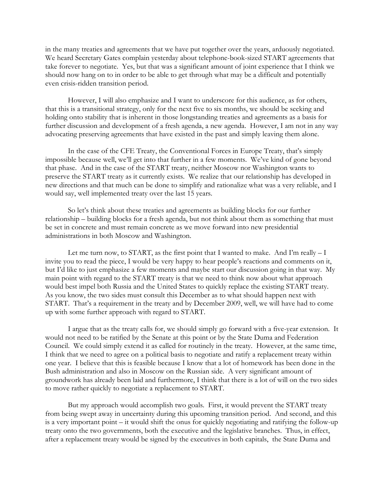in the many treaties and agreements that we have put together over the years, arduously negotiated. We heard Secretary Gates complain yesterday about telephone-book-sized START agreements that take forever to negotiate. Yes, but that was a significant amount of joint experience that I think we should now hang on to in order to be able to get through what may be a difficult and potentially even crisis-ridden transition period.

However, I will also emphasize and I want to underscore for this audience, as for others, that this is a transitional strategy, only for the next five to six months, we should be seeking and holding onto stability that is inherent in those longstanding treaties and agreements as a basis for further discussion and development of a fresh agenda, a new agenda. However, I am not in any way advocating preserving agreements that have existed in the past and simply leaving them alone.

In the case of the CFE Treaty, the Conventional Forces in Europe Treaty, that's simply impossible because well, we'll get into that further in a few moments. We've kind of gone beyond that phase. And in the case of the START treaty, neither Moscow nor Washington wants to preserve the START treaty as it currently exists. We realize that our relationship has developed in new directions and that much can be done to simplify and rationalize what was a very reliable, and I would say, well implemented treaty over the last 15 years.

So let's think about these treaties and agreements as building blocks for our further relationship – building blocks for a fresh agenda, but not think about them as something that must be set in concrete and must remain concrete as we move forward into new presidential administrations in both Moscow and Washington.

Let me turn now, to START, as the first point that I wanted to make. And I'm really  $-1$ invite you to read the piece, I would be very happy to hear people's reactions and comments on it, but I'd like to just emphasize a few moments and maybe start our discussion going in that way. My main point with regard to the START treaty is that we need to think now about what approach would best impel both Russia and the United States to quickly replace the existing START treaty. As you know, the two sides must consult this December as to what should happen next with START. That's a requirement in the treaty and by December 2009, well, we will have had to come up with some further approach with regard to START.

I argue that as the treaty calls for, we should simply go forward with a five-year extension. It would not need to be ratified by the Senate at this point or by the State Duma and Federation Council. We could simply extend it as called for routinely in the treaty. However, at the same time, I think that we need to agree on a political basis to negotiate and ratify a replacement treaty within one year. I believe that this is feasible because I know that a lot of homework has been done in the Bush administration and also in Moscow on the Russian side. A very significant amount of groundwork has already been laid and furthermore, I think that there is a lot of will on the two sides to move rather quickly to negotiate a replacement to START.

But my approach would accomplish two goals. First, it would prevent the START treaty from being swept away in uncertainty during this upcoming transition period. And second, and this is a very important point – it would shift the onus for quickly negotiating and ratifying the follow-up treaty onto the two governments, both the executive and the legislative branches. Thus, in effect, after a replacement treaty would be signed by the executives in both capitals, the State Duma and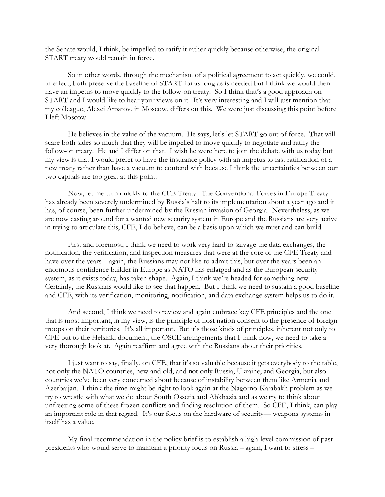the Senate would, I think, be impelled to ratify it rather quickly because otherwise, the original START treaty would remain in force.

So in other words, through the mechanism of a political agreement to act quickly, we could, in effect, both preserve the baseline of START for as long as is needed but I think we would then have an impetus to move quickly to the follow-on treaty. So I think that's a good approach on START and I would like to hear your views on it. It's very interesting and I will just mention that my colleague, Alexei Arbatov, in Moscow, differs on this. We were just discussing this point before I left Moscow.

He believes in the value of the vacuum. He says, let's let START go out of force. That will scare both sides so much that they will be impelled to move quickly to negotiate and ratify the follow-on treaty. He and I differ on that. I wish he were here to join the debate with us today but my view is that I would prefer to have the insurance policy with an impetus to fast ratification of a new treaty rather than have a vacuum to contend with because I think the uncertainties between our two capitals are too great at this point.

Now, let me turn quickly to the CFE Treaty. The Conventional Forces in Europe Treaty has already been severely undermined by Russia's halt to its implementation about a year ago and it has, of course, been further undermined by the Russian invasion of Georgia. Nevertheless, as we are now casting around for a wanted new security system in Europe and the Russians are very active in trying to articulate this, CFE, I do believe, can be a basis upon which we must and can build.

First and foremost, I think we need to work very hard to salvage the data exchanges, the notification, the verification, and inspection measures that were at the core of the CFE Treaty and have over the years – again, the Russians may not like to admit this, but over the years been an enormous confidence builder in Europe as NATO has enlarged and as the European security system, as it exists today, has taken shape. Again, I think we're headed for something new. Certainly, the Russians would like to see that happen. But I think we need to sustain a good baseline and CFE, with its verification, monitoring, notification, and data exchange system helps us to do it.

And second, I think we need to review and again embrace key CFE principles and the one that is most important, in my view, is the principle of host nation consent to the presence of foreign troops on their territories. It's all important. But it's those kinds of principles, inherent not only to CFE but to the Helsinki document, the OSCE arrangements that I think now, we need to take a very thorough look at. Again reaffirm and agree with the Russians about their priorities.

I just want to say, finally, on CFE, that it's so valuable because it gets everybody to the table, not only the NATO countries, new and old, and not only Russia, Ukraine, and Georgia, but also countries we've been very concerned about because of instability between them like Armenia and Azerbaijan. I think the time might be right to look again at the Nagorno-Karabakh problem as we try to wrestle with what we do about South Ossetia and Abkhazia and as we try to think about unfreezing some of these frozen conflicts and finding resolution of them. So CFE, I think, can play an important role in that regard. It's our focus on the hardware of security— weapons systems in itself has a value.

My final recommendation in the policy brief is to establish a high-level commission of past presidents who would serve to maintain a priority focus on Russia – again, I want to stress –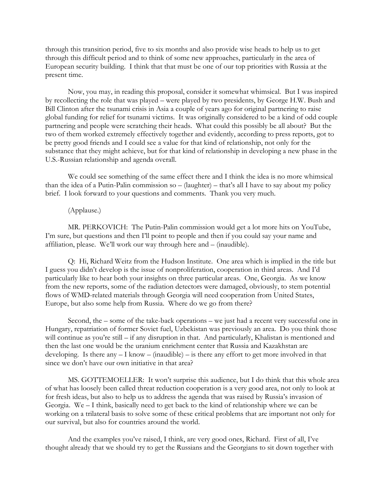through this transition period, five to six months and also provide wise heads to help us to get through this difficult period and to think of some new approaches, particularly in the area of European security building. I think that that must be one of our top priorities with Russia at the present time.

Now, you may, in reading this proposal, consider it somewhat whimsical. But I was inspired by recollecting the role that was played – were played by two presidents, by George H.W. Bush and Bill Clinton after the tsunami crisis in Asia a couple of years ago for original partnering to raise global funding for relief for tsunami victims. It was originally considered to be a kind of odd couple partnering and people were scratching their heads. What could this possibly be all about? But the two of them worked extremely effectively together and evidently, according to press reports, got to be pretty good friends and I could see a value for that kind of relationship, not only for the substance that they might achieve, but for that kind of relationship in developing a new phase in the U.S.-Russian relationship and agenda overall.

We could see something of the same effect there and I think the idea is no more whimsical than the idea of a Putin-Palin commission so – (laughter) – that's all I have to say about my policy brief. I look forward to your questions and comments. Thank you very much.

## (Applause.)

MR. PERKOVICH: The Putin-Palin commission would get a lot more hits on YouTube, I'm sure, but questions and then I'll point to people and then if you could say your name and affiliation, please. We'll work our way through here and – (inaudible).

Q: Hi, Richard Weitz from the Hudson Institute. One area which is implied in the title but I guess you didn't develop is the issue of nonproliferation, cooperation in third areas. And I'd particularly like to hear both your insights on three particular areas. One, Georgia. As we know from the new reports, some of the radiation detectors were damaged, obviously, to stem potential flows of WMD-related materials through Georgia will need cooperation from United States, Europe, but also some help from Russia. Where do we go from there?

Second, the – some of the take-back operations – we just had a recent very successful one in Hungary, repatriation of former Soviet fuel, Uzbekistan was previously an area. Do you think those will continue as you're still – if any disruption in that. And particularly, Khalistan is mentioned and then the last one would be the uranium enrichment center that Russia and Kazakhstan are developing. Is there any  $- I$  know  $-$  (inaudible)  $-$  is there any effort to get more involved in that since we don't have our own initiative in that area?

MS. GOTTEMOELLER: It won't surprise this audience, but I do think that this whole area of what has loosely been called threat reduction cooperation is a very good area, not only to look at for fresh ideas, but also to help us to address the agenda that was raised by Russia's invasion of Georgia. We – I think, basically need to get back to the kind of relationship where we can be working on a trilateral basis to solve some of these critical problems that are important not only for our survival, but also for countries around the world.

And the examples you've raised, I think, are very good ones, Richard. First of all, I've thought already that we should try to get the Russians and the Georgians to sit down together with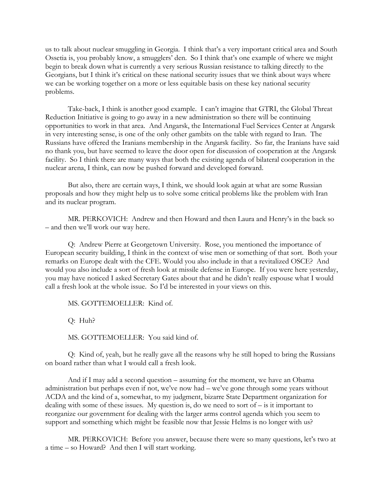us to talk about nuclear smuggling in Georgia. I think that's a very important critical area and South Ossetia is, you probably know, a smugglers' den. So I think that's one example of where we might begin to break down what is currently a very serious Russian resistance to talking directly to the Georgians, but I think it's critical on these national security issues that we think about ways where we can be working together on a more or less equitable basis on these key national security problems.

Take-back, I think is another good example. I can't imagine that GTRI, the Global Threat Reduction Initiative is going to go away in a new administration so there will be continuing opportunities to work in that area. And Angarsk, the International Fuel Services Center at Angarsk in very interesting sense, is one of the only other gambits on the table with regard to Iran. The Russians have offered the Iranians membership in the Angarsk facility. So far, the Iranians have said no thank you, but have seemed to leave the door open for discussion of cooperation at the Angarsk facility. So I think there are many ways that both the existing agenda of bilateral cooperation in the nuclear arena, I think, can now be pushed forward and developed forward.

But also, there are certain ways, I think, we should look again at what are some Russian proposals and how they might help us to solve some critical problems like the problem with Iran and its nuclear program.

MR. PERKOVICH: Andrew and then Howard and then Laura and Henry's in the back so – and then we'll work our way here.

Q: Andrew Pierre at Georgetown University. Rose, you mentioned the importance of European security building, I think in the context of wise men or something of that sort. Both your remarks on Europe dealt with the CFE. Would you also include in that a revitalized OSCE? And would you also include a sort of fresh look at missile defense in Europe. If you were here yesterday, you may have noticed I asked Secretary Gates about that and he didn't really espouse what I would call a fresh look at the whole issue. So I'd be interested in your views on this.

MS. GOTTEMOELLER: Kind of.

Q: Huh?

MS. GOTTEMOELLER: You said kind of.

Q: Kind of, yeah, but he really gave all the reasons why he still hoped to bring the Russians on board rather than what I would call a fresh look.

And if I may add a second question – assuming for the moment, we have an Obama administration but perhaps even if not, we've now had – we've gone through some years without ACDA and the kind of a, somewhat, to my judgment, bizarre State Department organization for dealing with some of these issues. My question is, do we need to sort of  $-$  is it important to reorganize our government for dealing with the larger arms control agenda which you seem to support and something which might be feasible now that Jessie Helms is no longer with us?

MR. PERKOVICH: Before you answer, because there were so many questions, let's two at a time – so Howard? And then I will start working.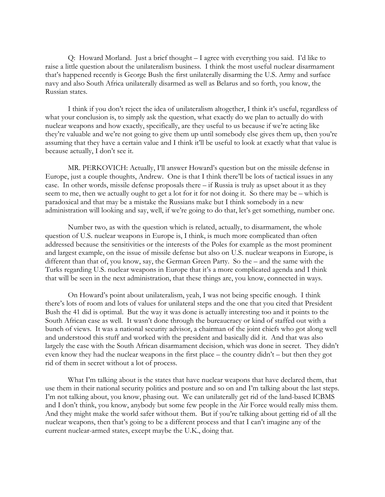Q: Howard Morland. Just a brief thought – I agree with everything you said. I'd like to raise a little question about the unilateralism business. I think the most useful nuclear disarmament that's happened recently is George Bush the first unilaterally disarming the U.S. Army and surface navy and also South Africa unilaterally disarmed as well as Belarus and so forth, you know, the Russian states.

I think if you don't reject the idea of unilateralism altogether, I think it's useful, regardless of what your conclusion is, to simply ask the question, what exactly do we plan to actually do with nuclear weapons and how exactly, specifically, are they useful to us because if we're acting like they're valuable and we're not going to give them up until somebody else gives them up, then you're assuming that they have a certain value and I think it'll be useful to look at exactly what that value is because actually, I don't see it.

MR. PERKOVICH: Actually, I'll answer Howard's question but on the missile defense in Europe, just a couple thoughts, Andrew. One is that I think there'll be lots of tactical issues in any case. In other words, missile defense proposals there – if Russia is truly as upset about it as they seem to me, then we actually ought to get a lot for it for not doing it. So there may be – which is paradoxical and that may be a mistake the Russians make but I think somebody in a new administration will looking and say, well, if we're going to do that, let's get something, number one.

Number two, as with the question which is related, actually, to disarmament, the whole question of U.S. nuclear weapons in Europe is, I think, is much more complicated than often addressed because the sensitivities or the interests of the Poles for example as the most prominent and largest example, on the issue of missile defense but also on U.S. nuclear weapons in Europe, is different than that of, you know, say, the German Green Party. So the – and the same with the Turks regarding U.S. nuclear weapons in Europe that it's a more complicated agenda and I think that will be seen in the next administration, that these things are, you know, connected in ways.

On Howard's point about unilateralism, yeah, I was not being specific enough. I think there's lots of room and lots of values for unilateral steps and the one that you cited that President Bush the 41 did is optimal. But the way it was done is actually interesting too and it points to the South African case as well. It wasn't done through the bureaucracy or kind of staffed out with a bunch of views. It was a national security advisor, a chairman of the joint chiefs who got along well and understood this stuff and worked with the president and basically did it. And that was also largely the case with the South African disarmament decision, which was done in secret. They didn't even know they had the nuclear weapons in the first place – the country didn't – but then they got rid of them in secret without a lot of process.

What I'm talking about is the states that have nuclear weapons that have declared them, that use them in their national security politics and posture and so on and I'm talking about the last steps. I'm not talking about, you know, phasing out. We can unilaterally get rid of the land-based ICBMS and I don't think, you know, anybody but some few people in the Air Force would really miss them. And they might make the world safer without them. But if you're talking about getting rid of all the nuclear weapons, then that's going to be a different process and that I can't imagine any of the current nuclear-armed states, except maybe the U.K., doing that.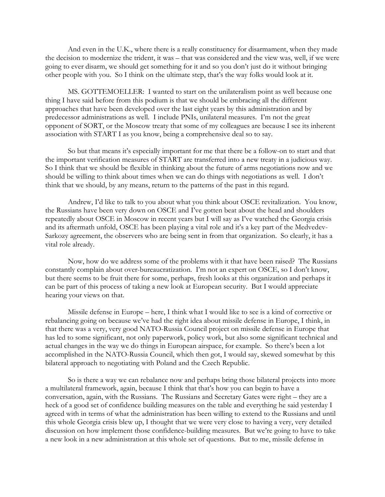And even in the U.K., where there is a really constituency for disarmament, when they made the decision to modernize the trident, it was – that was considered and the view was, well, if we were going to ever disarm, we should get something for it and so you don't just do it without bringing other people with you. So I think on the ultimate step, that's the way folks would look at it.

MS. GOTTEMOELLER: I wanted to start on the unilateralism point as well because one thing I have said before from this podium is that we should be embracing all the different approaches that have been developed over the last eight years by this administration and by predecessor administrations as well. I include PNIs, unilateral measures. I'm not the great opponent of SORT, or the Moscow treaty that some of my colleagues are because I see its inherent association with START I as you know, being a comprehensive deal so to say.

So but that means it's especially important for me that there be a follow-on to start and that the important verification measures of START are transferred into a new treaty in a judicious way. So I think that we should be flexible in thinking about the future of arms negotiations now and we should be willing to think about times when we can do things with negotiations as well. I don't think that we should, by any means, return to the patterns of the past in this regard.

Andrew, I'd like to talk to you about what you think about OSCE revitalization. You know, the Russians have been very down on OSCE and I've gotten beat about the head and shoulders repeatedly about OSCE in Moscow in recent years but I will say as I've watched the Georgia crisis and its aftermath unfold, OSCE has been playing a vital role and it's a key part of the Medvedev-Sarkozy agreement, the observers who are being sent in from that organization. So clearly, it has a vital role already.

Now, how do we address some of the problems with it that have been raised? The Russians constantly complain about over-bureaucratization. I'm not an expert on OSCE, so I don't know, but there seems to be fruit there for some, perhaps, fresh looks at this organization and perhaps it can be part of this process of taking a new look at European security. But I would appreciate hearing your views on that.

Missile defense in Europe – here, I think what I would like to see is a kind of corrective or rebalancing going on because we've had the right idea about missile defense in Europe, I think, in that there was a very, very good NATO-Russia Council project on missile defense in Europe that has led to some significant, not only paperwork, policy work, but also some significant technical and actual changes in the way we do things in European airspace, for example. So there's been a lot accomplished in the NATO-Russia Council, which then got, I would say, skewed somewhat by this bilateral approach to negotiating with Poland and the Czech Republic.

So is there a way we can rebalance now and perhaps bring those bilateral projects into more a multilateral framework, again, because I think that that's how you can begin to have a conversation, again, with the Russians. The Russians and Secretary Gates were right – they are a heck of a good set of confidence building measures on the table and everything he said yesterday I agreed with in terms of what the administration has been willing to extend to the Russians and until this whole Georgia crisis blew up, I thought that we were very close to having a very, very detailed discussion on how implement those confidence-building measures. But we're going to have to take a new look in a new administration at this whole set of questions. But to me, missile defense in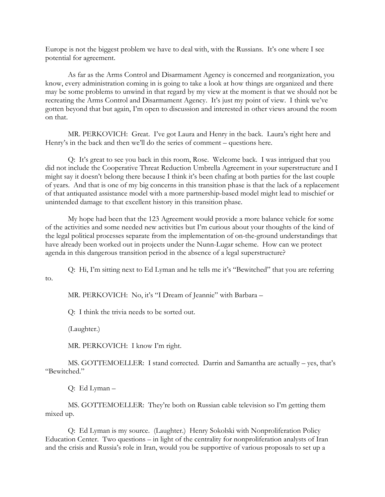Europe is not the biggest problem we have to deal with, with the Russians. It's one where I see potential for agreement.

As far as the Arms Control and Disarmament Agency is concerned and reorganization, you know, every administration coming in is going to take a look at how things are organized and there may be some problems to unwind in that regard by my view at the moment is that we should not be recreating the Arms Control and Disarmament Agency. It's just my point of view. I think we've gotten beyond that but again, I'm open to discussion and interested in other views around the room on that.

MR. PERKOVICH: Great. I've got Laura and Henry in the back. Laura's right here and Henry's in the back and then we'll do the series of comment – questions here.

Q: It's great to see you back in this room, Rose. Welcome back. I was intrigued that you did not include the Cooperative Threat Reduction Umbrella Agreement in your superstructure and I might say it doesn't belong there because I think it's been chafing at both parties for the last couple of years. And that is one of my big concerns in this transition phase is that the lack of a replacement of that antiquated assistance model with a more partnership-based model might lead to mischief or unintended damage to that excellent history in this transition phase.

My hope had been that the 123 Agreement would provide a more balance vehicle for some of the activities and some needed new activities but I'm curious about your thoughts of the kind of the legal political processes separate from the implementation of on-the-ground understandings that have already been worked out in projects under the Nunn-Lugar scheme. How can we protect agenda in this dangerous transition period in the absence of a legal superstructure?

Q: Hi, I'm sitting next to Ed Lyman and he tells me it's "Bewitched" that you are referring to.

MR. PERKOVICH: No, it's "I Dream of Jeannie" with Barbara -

Q: I think the trivia needs to be sorted out.

(Laughter.)

MR. PERKOVICH: I know I'm right.

MS. GOTTEMOELLER: I stand corrected. Darrin and Samantha are actually – yes, that's "Bewitched."

Q: Ed Lyman –

MS. GOTTEMOELLER: They're both on Russian cable television so I'm getting them mixed up.

Q: Ed Lyman is my source. (Laughter.) Henry Sokolski with Nonproliferation Policy Education Center. Two questions – in light of the centrality for nonproliferation analysts of Iran and the crisis and Russia's role in Iran, would you be supportive of various proposals to set up a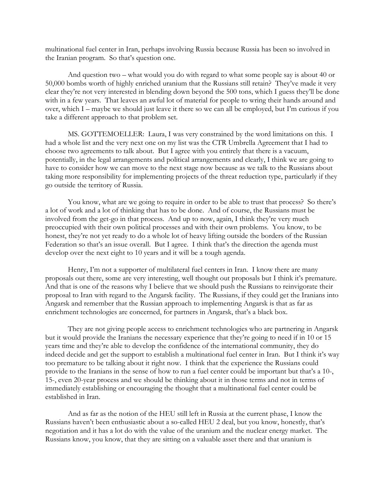multinational fuel center in Iran, perhaps involving Russia because Russia has been so involved in the Iranian program. So that's question one.

And question two – what would you do with regard to what some people say is about 40 or 50,000 bombs worth of highly enriched uranium that the Russians still retain? They've made it very clear they're not very interested in blending down beyond the 500 tons, which I guess they'll be done with in a few years. That leaves an awful lot of material for people to wring their hands around and over, which I – maybe we should just leave it there so we can all be employed, but I'm curious if you take a different approach to that problem set.

MS. GOTTEMOELLER: Laura, I was very constrained by the word limitations on this. I had a whole list and the very next one on my list was the CTR Umbrella Agreement that I had to choose two agreements to talk about. But I agree with you entirely that there is a vacuum, potentially, in the legal arrangements and political arrangements and clearly, I think we are going to have to consider how we can move to the next stage now because as we talk to the Russians about taking more responsibility for implementing projects of the threat reduction type, particularly if they go outside the territory of Russia.

You know, what are we going to require in order to be able to trust that process? So there's a lot of work and a lot of thinking that has to be done. And of course, the Russians must be involved from the get-go in that process. And up to now, again, I think they're very much preoccupied with their own political processes and with their own problems. You know, to be honest, they're not yet ready to do a whole lot of heavy lifting outside the borders of the Russian Federation so that's an issue overall. But I agree. I think that's the direction the agenda must develop over the next eight to 10 years and it will be a tough agenda.

Henry, I'm not a supporter of multilateral fuel centers in Iran. I know there are many proposals out there, some are very interesting, well thought out proposals but I think it's premature. And that is one of the reasons why I believe that we should push the Russians to reinvigorate their proposal to Iran with regard to the Angarsk facility. The Russians, if they could get the Iranians into Angarsk and remember that the Russian approach to implementing Angarsk is that as far as enrichment technologies are concerned, for partners in Angarsk, that's a black box.

They are not giving people access to enrichment technologies who are partnering in Angarsk but it would provide the Iranians the necessary experience that they're going to need if in 10 or 15 years time and they're able to develop the confidence of the international community, they do indeed decide and get the support to establish a multinational fuel center in Iran. But I think it's way too premature to be talking about it right now. I think that the experience the Russians could provide to the Iranians in the sense of how to run a fuel center could be important but that's a 10-, 15-, even 20-year process and we should be thinking about it in those terms and not in terms of immediately establishing or encouraging the thought that a multinational fuel center could be established in Iran.

And as far as the notion of the HEU still left in Russia at the current phase, I know the Russians haven't been enthusiastic about a so-called HEU 2 deal, but you know, honestly, that's negotiation and it has a lot do with the value of the uranium and the nuclear energy market. The Russians know, you know, that they are sitting on a valuable asset there and that uranium is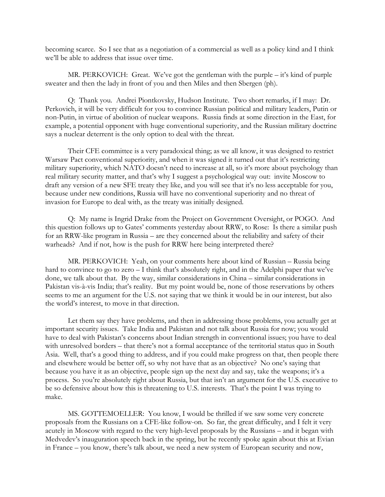becoming scarce. So I see that as a negotiation of a commercial as well as a policy kind and I think we'll be able to address that issue over time.

MR. PERKOVICH: Great. We've got the gentleman with the purple – it's kind of purple sweater and then the lady in front of you and then Miles and then Sbergen (ph).

 Q: Thank you. Andrei Piontkovsky, Hudson Institute. Two short remarks, if I may: Dr. Perkovich, it will be very difficult for you to convince Russian political and military leaders, Putin or non-Putin, in virtue of abolition of nuclear weapons. Russia finds at some direction in the East, for example, a potential opponent with huge conventional superiority, and the Russian military doctrine says a nuclear deterrent is the only option to deal with the threat.

Their CFE committee is a very paradoxical thing; as we all know, it was designed to restrict Warsaw Pact conventional superiority, and when it was signed it turned out that it's restricting military superiority, which NATO doesn't need to increase at all, so it's more about psychology than real military security matter, and that's why I suggest a psychological way out: invite Moscow to draft any version of a new SFE treaty they like, and you will see that it's no less acceptable for you, because under new conditions, Russia will have no conventional superiority and no threat of invasion for Europe to deal with, as the treaty was initially designed.

Q: My name is Ingrid Drake from the Project on Government Oversight, or POGO. And this question follows up to Gates' comments yesterday about RRW, to Rose: Is there a similar push for an RRW-like program in Russia – are they concerned about the reliability and safety of their warheads? And if not, how is the push for RRW here being interpreted there?

MR. PERKOVICH: Yeah, on your comments here about kind of Russian – Russia being hard to convince to go to zero – I think that's absolutely right, and in the Adelphi paper that we've done, we talk about that. By the way, similar considerations in China – similar considerations in Pakistan vis-à-vis India; that's reality. But my point would be, none of those reservations by others seems to me an argument for the U.S. not saying that we think it would be in our interest, but also the world's interest, to move in that direction.

Let them say they have problems, and then in addressing those problems, you actually get at important security issues. Take India and Pakistan and not talk about Russia for now; you would have to deal with Pakistan's concerns about Indian strength in conventional issues; you have to deal with unresolved borders – that there's not a formal acceptance of the territorial status quo in South Asia. Well, that's a good thing to address, and if you could make progress on that, then people there and elsewhere would be better off, so why not have that as an objective? No one's saying that because you have it as an objective, people sign up the next day and say, take the weapons; it's a process. So you're absolutely right about Russia, but that isn't an argument for the U.S. executive to be so defensive about how this is threatening to U.S. interests. That's the point I was trying to make.

MS. GOTTEMOELLER: You know, I would be thrilled if we saw some very concrete proposals from the Russians on a CFE-like follow-on. So far, the great difficulty, and I felt it very acutely in Moscow with regard to the very high-level proposals by the Russians – and it began with Medvedev's inauguration speech back in the spring, but he recently spoke again about this at Evian in France – you know, there's talk about, we need a new system of European security and now,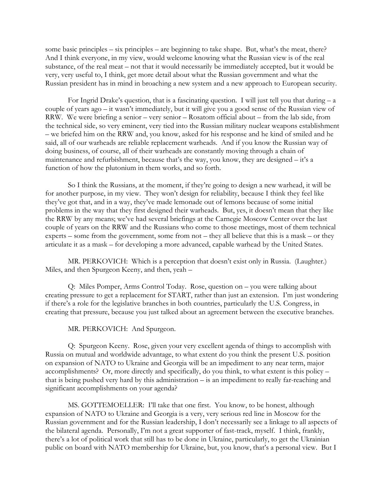some basic principles – six principles – are beginning to take shape. But, what's the meat, there? And I think everyone, in my view, would welcome knowing what the Russian view is of the real substance, of the real meat – not that it would necessarily be immediately accepted, but it would be very, very useful to, I think, get more detail about what the Russian government and what the Russian president has in mind in broaching a new system and a new approach to European security.

For Ingrid Drake's question, that is a fascinating question. I will just tell you that during  $- a$ couple of years ago – it wasn't immediately, but it will give you a good sense of the Russian view of RRW. We were briefing a senior – very senior – Rosatom official about – from the lab side, from the technical side, so very eminent, very tied into the Russian military nuclear weapons establishment – we briefed him on the RRW and, you know, asked for his response and he kind of smiled and he said, all of our warheads are reliable replacement warheads. And if you know the Russian way of doing business, of course, all of their warheads are constantly moving through a chain of maintenance and refurbishment, because that's the way, you know, they are designed – it's a function of how the plutonium in them works, and so forth.

So I think the Russians, at the moment, if they're going to design a new warhead, it will be for another purpose, in my view. They won't design for reliability, because I think they feel like they've got that, and in a way, they've made lemonade out of lemons because of some initial problems in the way that they first designed their warheads. But, yes, it doesn't mean that they like the RRW by any means; we've had several briefings at the Carnegie Moscow Center over the last couple of years on the RRW and the Russians who come to those meetings, most of them technical experts – some from the government, some from not – they all believe that this is a mask – or they articulate it as a mask – for developing a more advanced, capable warhead by the United States.

MR. PERKOVICH: Which is a perception that doesn't exist only in Russia. (Laughter.) Miles, and then Spurgeon Keeny, and then, yeah –

Q: Miles Pomper, Arms Control Today. Rose, question on – you were talking about creating pressure to get a replacement for START, rather than just an extension. I'm just wondering if there's a role for the legislative branches in both countries, particularly the U.S. Congress, in creating that pressure, because you just talked about an agreement between the executive branches.

MR. PERKOVICH: And Spurgeon.

Q: Spurgeon Keeny. Rose, given your very excellent agenda of things to accomplish with Russia on mutual and worldwide advantage, to what extent do you think the present U.S. position on expansion of NATO to Ukraine and Georgia will be an impediment to any near term, major accomplishments? Or, more directly and specifically, do you think, to what extent is this policy – that is being pushed very hard by this administration – is an impediment to really far-reaching and significant accomplishments on your agenda?

MS. GOTTEMOELLER: I'll take that one first. You know, to be honest, although expansion of NATO to Ukraine and Georgia is a very, very serious red line in Moscow for the Russian government and for the Russian leadership, I don't necessarily see a linkage to all aspects of the bilateral agenda. Personally, I'm not a great supporter of fast-track, myself. I think, frankly, there's a lot of political work that still has to be done in Ukraine, particularly, to get the Ukrainian public on board with NATO membership for Ukraine, but, you know, that's a personal view. But I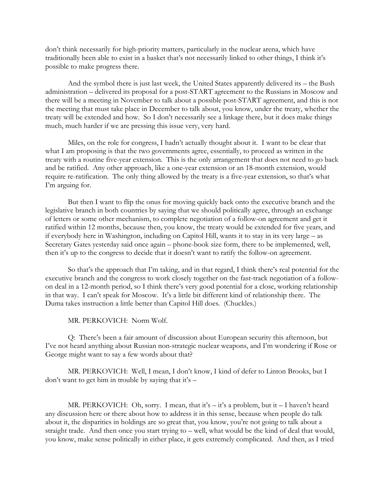don't think necessarily for high-priority matters, particularly in the nuclear arena, which have traditionally been able to exist in a basket that's not necessarily linked to other things, I think it's possible to make progress there.

And the symbol there is just last week, the United States apparently delivered its – the Bush administration – delivered its proposal for a post-START agreement to the Russians in Moscow and there will be a meeting in November to talk about a possible post-START agreement, and this is not the meeting that must take place in December to talk about, you know, under the treaty, whether the treaty will be extended and how. So I don't necessarily see a linkage there, but it does make things much, much harder if we are pressing this issue very, very hard.

Miles, on the role for congress, I hadn't actually thought about it. I want to be clear that what I am proposing is that the two governments agree, essentially, to proceed as written in the treaty with a routine five-year extension. This is the only arrangement that does not need to go back and be ratified. Any other approach, like a one-year extension or an 18-month extension, would require re-ratification. The only thing allowed by the treaty is a five-year extension, so that's what I'm arguing for.

But then I want to flip the onus for moving quickly back onto the executive branch and the legislative branch in both countries by saying that we should politically agree, through an exchange of letters or some other mechanism, to complete negotiation of a follow-on agreement and get it ratified within 12 months, because then, you know, the treaty would be extended for five years, and if everybody here in Washington, including on Capitol Hill, wants it to stay in its very large – as Secretary Gates yesterday said once again – phone-book size form, there to be implemented, well, then it's up to the congress to decide that it doesn't want to ratify the follow-on agreement.

So that's the approach that I'm taking, and in that regard, I think there's real potential for the executive branch and the congress to work closely together on the fast-track negotiation of a followon deal in a 12-month period, so I think there's very good potential for a close, working relationship in that way. I can't speak for Moscow. It's a little bit different kind of relationship there. The Duma takes instruction a little better than Capitol Hill does. (Chuckles.)

MR. PERKOVICH: Norm Wolf.

Q: There's been a fair amount of discussion about European security this afternoon, but I've not heard anything about Russian non-strategic nuclear weapons, and I'm wondering if Rose or George might want to say a few words about that?

MR. PERKOVICH: Well, I mean, I don't know, I kind of defer to Linton Brooks, but I don't want to get him in trouble by saying that it's –

MR. PERKOVICH: Oh, sorry. I mean, that it's  $-i$ t's a problem, but it  $-1$  haven't heard any discussion here or there about how to address it in this sense, because when people do talk about it, the disparities in holdings are so great that, you know, you're not going to talk about a straight trade. And then once you start trying to – well, what would be the kind of deal that would, you know, make sense politically in either place, it gets extremely complicated. And then, as I tried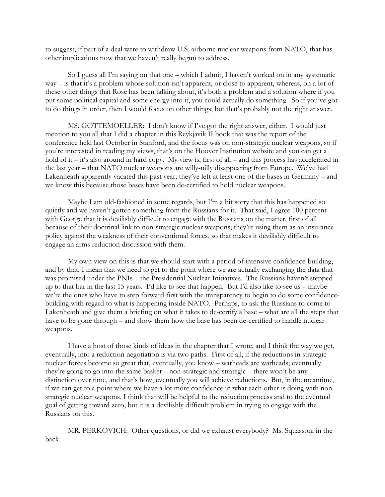to suggest, if part of a deal were to withdraw U.S. airborne nuclear weapons from NATO, that has other implications now that we haven't really begun to address.

So I guess all I'm saying on that one – which I admit, I haven't worked on in any systematic way – is that it's a problem whose solution isn't apparent, or close to apparent, whereas, on a lot of these other things that Rose has been talking about, it's both a problem and a solution where if you put some political capital and some energy into it, you could actually do something. So if you've got to do things in order, then I would focus on other things, but that's probably not the right answer.

MS. GOTTEMOELLER: I don't know if I've got the right answer, either. I would just mention to you all that I did a chapter in this Reykjavik II book that was the report of the conference held last October in Stanford, and the focus was on non-strategic nuclear weapons, so if you're interested in reading my views, that's on the Hoover Institution website and you can get a hold of it – it's also around in hard copy. My view is, first of all – and this process has accelerated in the last year – that NATO nuclear weapons are willy-nilly disappearing from Europe. We've had Lakenheath apparently vacated this past year; they've left at least one of the bases in Germany – and we know this because those bases have been de-certified to hold nuclear weapons.

Maybe I am old-fashioned in some regards, but I'm a bit sorry that this has happened so quietly and we haven't gotten something from the Russians for it. That said, I agree 100 percent with George that it is devilishly difficult to engage with the Russians on the matter, first of all because of their doctrinal link to non-strategic nuclear weapons; they're using them as an insurance policy against the weakness of their conventional forces, so that makes it devilishly difficult to engage an arms reduction discussion with them.

My own view on this is that we should start with a period of intensive confidence-building, and by that, I mean that we need to get to the point where we are actually exchanging the data that was promised under the PNIs – the Presidential Nuclear Initiatives. The Russians haven't stepped up to that bar in the last 15 years. I'd like to see that happen. But I'd also like to see us – maybe we're the ones who have to step forward first with the transparency to begin to do some confidencebuilding with regard to what is happening inside NATO. Perhaps, to ask the Russians to come to Lakenheath and give them a briefing on what it takes to de-certify a base – what are all the steps that have to be gone through – and show them how the base has been de-certified to handle nuclear weapons.

I have a host of those kinds of ideas in the chapter that I wrote, and I think the way we get, eventually, into a reduction negotiation is via two paths. First of all, if the reductions in strategic nuclear forces become so great that, eventually, you know – warheads are warheads; eventually they're going to go into the same basket – non-strategic and strategic – there won't be any distinction over time, and that's how, eventually you will achieve reductions. But, in the meantime, if we can get to a point where we have a lot more confidence in what each other is doing with nonstrategic nuclear weapons, I think that will be helpful to the reduction process and to the eventual goal of getting toward zero, but it is a devilishly difficult problem in trying to engage with the Russians on this.

MR. PERKOVICH: Other questions, or did we exhaust everybody? Ms. Squassoni in the back.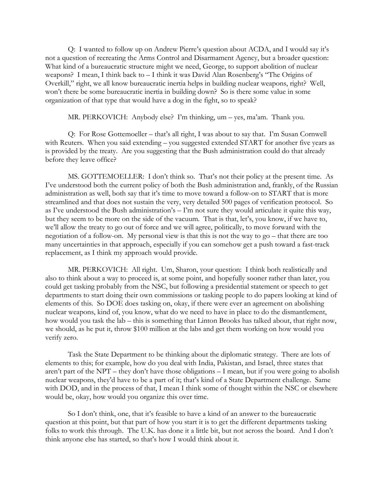Q: I wanted to follow up on Andrew Pierre's question about ACDA, and I would say it's not a question of recreating the Arms Control and Disarmament Agency, but a broader question: What kind of a bureaucratic structure might we need, George, to support abolition of nuclear weapons? I mean, I think back to – I think it was David Alan Rosenberg's "The Origins of Overkill," right, we all know bureaucratic inertia helps in building nuclear weapons, right? Well, won't there be some bureaucratic inertia in building down? So is there some value in some organization of that type that would have a dog in the fight, so to speak?

MR. PERKOVICH: Anybody else? I'm thinking, um – yes, ma'am. Thank you.

Q: For Rose Gottemoeller – that's all right, I was about to say that. I'm Susan Cornwell with Reuters. When you said extending – you suggested extended START for another five years as is provided by the treaty. Are you suggesting that the Bush administration could do that already before they leave office?

MS. GOTTEMOELLER: I don't think so. That's not their policy at the present time. As I've understood both the current policy of both the Bush administration and, frankly, of the Russian administration as well, both say that it's time to move toward a follow-on to START that is more streamlined and that does not sustain the very, very detailed 500 pages of verification protocol. So as I've understood the Bush administration's – I'm not sure they would articulate it quite this way, but they seem to be more on the side of the vacuum. That is that, let's, you know, if we have to, we'll allow the treaty to go out of force and we will agree, politically, to move forward with the negotiation of a follow-on. My personal view is that this is not the way to go – that there are too many uncertainties in that approach, especially if you can somehow get a push toward a fast-track replacement, as I think my approach would provide.

MR. PERKOVICH: All right. Um, Sharon, your question: I think both realistically and also to think about a way to proceed is, at some point, and hopefully sooner rather than later, you could get tasking probably from the NSC, but following a presidential statement or speech to get departments to start doing their own commissions or tasking people to do papers looking at kind of elements of this. So DOE does tasking on, okay, if there were ever an agreement on abolishing nuclear weapons, kind of, you know, what do we need to have in place to do the dismantlement, how would you task the lab – this is something that Linton Brooks has talked about, that right now, we should, as he put it, throw \$100 million at the labs and get them working on how would you verify zero.

Task the State Department to be thinking about the diplomatic strategy. There are lots of elements to this; for example, how do you deal with India, Pakistan, and Israel, three states that aren't part of the NPT – they don't have those obligations – I mean, but if you were going to abolish nuclear weapons, they'd have to be a part of it; that's kind of a State Department challenge. Same with DOD, and in the process of that, I mean I think some of thought within the NSC or elsewhere would be, okay, how would you organize this over time.

So I don't think, one, that it's feasible to have a kind of an answer to the bureaucratic question at this point, but that part of how you start it is to get the different departments tasking folks to work this through. The U.K. has done it a little bit, but not across the board. And I don't think anyone else has started, so that's how I would think about it.